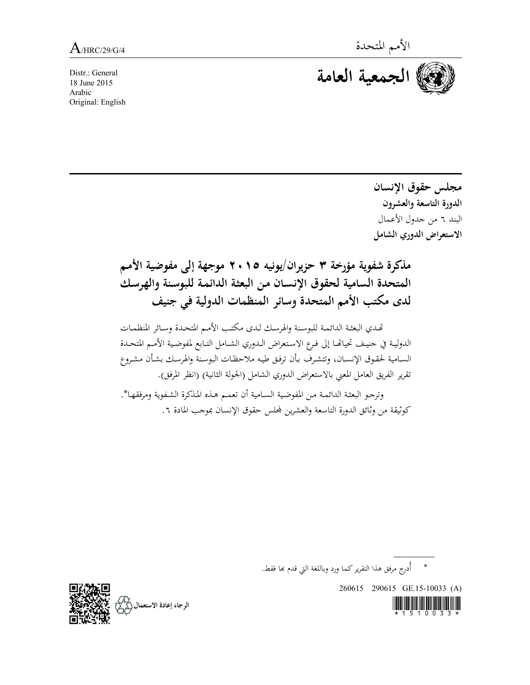Distr.: General 18 June 2015 Arabic Original: English



**مجلس حقوق النسان الدورة التاسعة والعشرون** البند 6 من جدول العمال **الستعراض الدوري الشامل**

**مذكرة شفوية مؤرخة 3 حزيران/يونيه 2015 موجهة إلى مفوضية المم**  المتحدة السامية لحقوق الإنسان من البعثة الدائمة للبوسنة والهرسك **لدى مكتب الم المتحدة وساةر الماظمات الدولية في جايف**

تحدي البعثة الدائمة للبوسنة والهرسك لدى مكتب الأمم المتحدة وسائر المنظمات الدولية في جنيف تحياتها إلى فرع الاستعراض الدوري الشامل التابع لمفوضية الأمم المتحدة السامية لحقوق الإنسان، وتتشرف بأن ترفق طيه ملاحظات البوسنة والهرسك بشأن مشروع تقرير الفريق العامل المعنى بالاستعراض الدوري الشامل (الجولة الثانية) (انظر المرفق).

وترجو البعثة الدائمة من المفوضية السامية أن تعمم هذه المذكرة الشفوية ومرفقها\*. كوثيقة من وثائق الدورة التاسعة والعشرين لمحلس حقوق الإنسان بموجب المادة ٦.

\* أُدرج مرفق هذا التقرير كما ورد وباللغة التي قدم بما فقط.

260615 290615 GE.15-10033 (A)



 $\overline{\phantom{a}}$ 

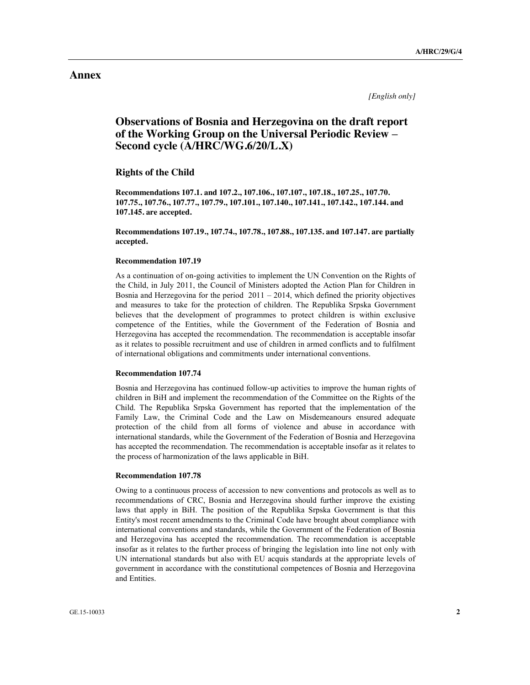*[English only]*

# **Observations of Bosnia and Herzegovina on the draft report of the Working Group on the Universal Periodic Review – Second cycle (A/HRC/WG.6/20/L.X)**

### **Rights of the Child**

**Recommendations 107.1. and 107.2., 107.106., 107.107., 107.18., 107.25., 107.70. 107.75., 107.76., 107.77., 107.79., 107.101., 107.140., 107.141., 107.142., 107.144. and 107.145. are accepted.**

**Recommendations 107.19., 107.74., 107.78., 107.88., 107.135. and 107.147. are partially accepted.**

# **Recommendation 107.19**

As a continuation of on-going activities to implement the UN Convention on the Rights of the Child, in July 2011, the Council of Ministers adopted the Action Plan for Children in Bosnia and Herzegovina for the period 2011 – 2014, which defined the priority objectives and measures to take for the protection of children. The Republika Srpska Government believes that the development of programmes to protect children is within exclusive competence of the Entities, while the Government of the Federation of Bosnia and Herzegovina has accepted the recommendation. The recommendation is acceptable insofar as it relates to possible recruitment and use of children in armed conflicts and to fulfilment of international obligations and commitments under international conventions.

### **Recommendation 107.74**

Bosnia and Herzegovina has continued follow-up activities to improve the human rights of children in BiH and implement the recommendation of the Committee on the Rights of the Child. The Republika Srpska Government has reported that the implementation of the Family Law, the Criminal Code and the Law on Misdemeanours ensured adequate protection of the child from all forms of violence and abuse in accordance with international standards, while the Government of the Federation of Bosnia and Herzegovina has accepted the recommendation. The recommendation is acceptable insofar as it relates to the process of harmonization of the laws applicable in BiH.

# **Recommendation 107.78**

Owing to a continuous process of accession to new conventions and protocols as well as to recommendations of CRC, Bosnia and Herzegovina should further improve the existing laws that apply in BiH. The position of the Republika Srpska Government is that this Entity's most recent amendments to the Criminal Code have brought about compliance with international conventions and standards, while the Government of the Federation of Bosnia and Herzegovina has accepted the recommendation. The recommendation is acceptable insofar as it relates to the further process of bringing the legislation into line not only with UN international standards but also with EU acquis standards at the appropriate levels of government in accordance with the constitutional competences of Bosnia and Herzegovina and Entities.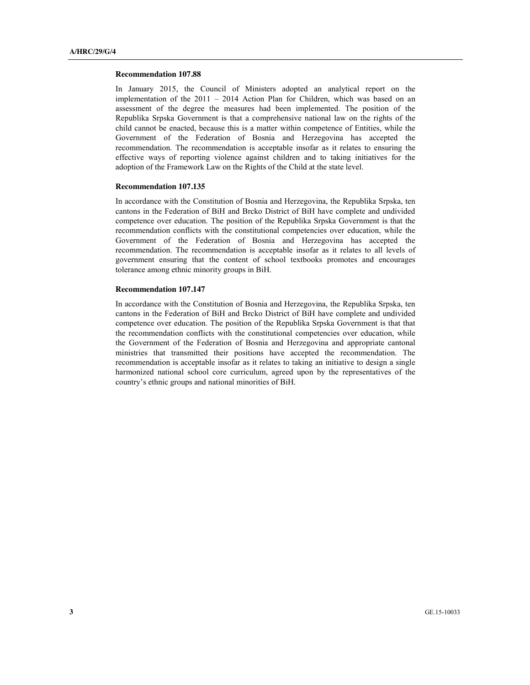#### **Recommendation 107.88**

In January 2015, the Council of Ministers adopted an analytical report on the implementation of the 2011 – 2014 Action Plan for Children, which was based on an assessment of the degree the measures had been implemented. The position of the Republika Srpska Government is that a comprehensive national law on the rights of the child cannot be enacted, because this is a matter within competence of Entities, while the Government of the Federation of Bosnia and Herzegovina has accepted the recommendation. The recommendation is acceptable insofar as it relates to ensuring the effective ways of reporting violence against children and to taking initiatives for the adoption of the Framework Law on the Rights of the Child at the state level.

### **Recommendation 107.135**

In accordance with the Constitution of Bosnia and Herzegovina, the Republika Srpska, ten cantons in the Federation of BiH and Brcko District of BiH have complete and undivided competence over education. The position of the Republika Srpska Government is that the recommendation conflicts with the constitutional competencies over education, while the Government of the Federation of Bosnia and Herzegovina has accepted the recommendation. The recommendation is acceptable insofar as it relates to all levels of government ensuring that the content of school textbooks promotes and encourages tolerance among ethnic minority groups in BiH.

# **Recommendation 107.147**

In accordance with the Constitution of Bosnia and Herzegovina, the Republika Srpska, ten cantons in the Federation of BiH and Brcko District of BiH have complete and undivided competence over education. The position of the Republika Srpska Government is that that the recommendation conflicts with the constitutional competencies over education, while the Government of the Federation of Bosnia and Herzegovina and appropriate cantonal ministries that transmitted their positions have accepted the recommendation. The recommendation is acceptable insofar as it relates to taking an initiative to design a single harmonized national school core curriculum, agreed upon by the representatives of the country's ethnic groups and national minorities of BiH.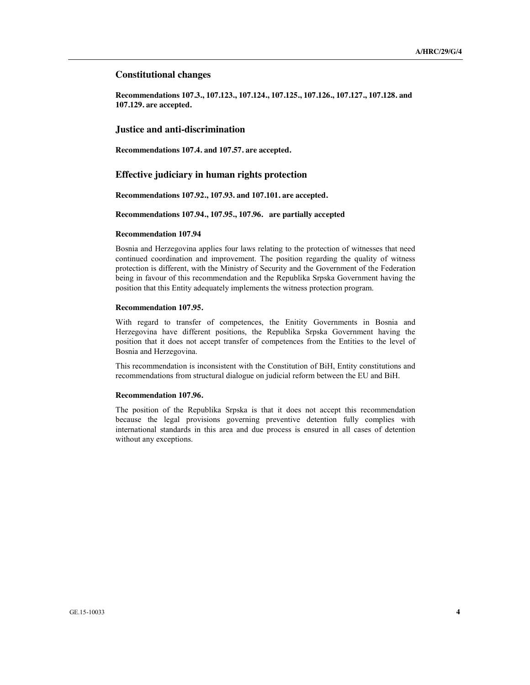### **Constitutional changes**

**Recommendations 107.3., 107.123., 107.124., 107.125., 107.126., 107.127., 107.128. and 107.129. are accepted.** 

### **Justice and anti-discrimination**

**Recommendations 107.4. and 107.57. are accepted.**

# **Effective judiciary in human rights protection**

**Recommendations 107.92., 107.93. and 107.101. are accepted.**

### **Recommendations 107.94., 107.95., 107.96. are partially accepted**

#### **Recommendation 107.94**

Bosnia and Herzegovina applies four laws relating to the protection of witnesses that need continued coordination and improvement. The position regarding the quality of witness protection is different, with the Ministry of Security and the Government of the Federation being in favour of this recommendation and the Republika Srpska Government having the position that this Entity adequately implements the witness protection program.

#### **Recommendation 107.95.**

With regard to transfer of competences, the Enitity Governments in Bosnia and Herzegovina have different positions, the Republika Srpska Government having the position that it does not accept transfer of competences from the Entities to the level of Bosnia and Herzegovina.

This recommendation is inconsistent with the Constitution of BiH, Entity constitutions and recommendations from structural dialogue on judicial reform between the EU and BiH.

### **Recommendation 107.96.**

The position of the Republika Srpska is that it does not accept this recommendation because the legal provisions governing preventive detention fully complies with international standards in this area and due process is ensured in all cases of detention without any exceptions.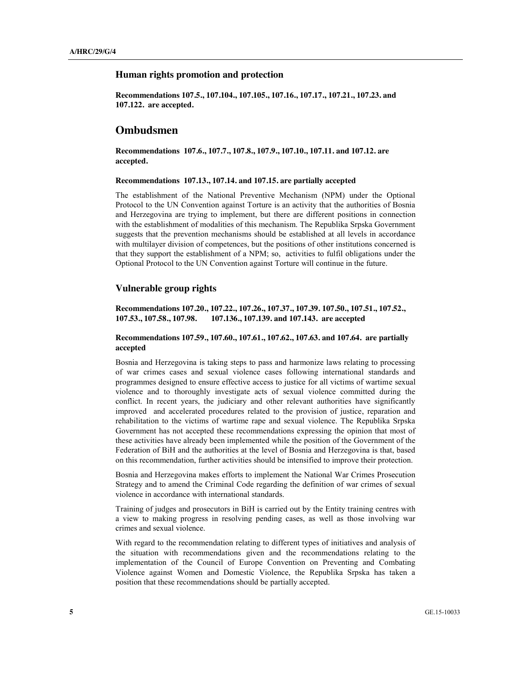### **Human rights promotion and protection**

**Recommendations 107.5., 107.104., 107.105., 107.16., 107.17., 107.21., 107.23. and 107.122. are accepted.**

# **Ombudsmen**

**Recommendations 107.6., 107.7., 107.8., 107.9., 107.10., 107.11. and 107.12. are accepted.**

### **Recommendations 107.13., 107.14. and 107.15. are partially accepted**

The establishment of the National Preventive Mechanism (NPM) under the Optional Protocol to the UN Convention against Torture is an activity that the authorities of Bosnia and Herzegovina are trying to implement, but there are different positions in connection with the establishment of modalities of this mechanism. The Republika Srpska Government suggests that the prevention mechanisms should be established at all levels in accordance with multilayer division of competences, but the positions of other institutions concerned is that they support the establishment of a NPM; so, activities to fulfil obligations under the Optional Protocol to the UN Convention against Torture will continue in the future.

# **Vulnerable group rights**

**Recommendations 107.20., 107.22., 107.26., 107.37., 107.39. 107.50., 107.51., 107.52., 107.53., 107.58., 107.98. 107.136., 107.139. and 107.143. are accepted**

# **Recommendations 107.59., 107.60., 107.61., 107.62., 107.63. and 107.64. are partially accepted**

Bosnia and Herzegovina is taking steps to pass and harmonize laws relating to processing of war crimes cases and sexual violence cases following international standards and programmes designed to ensure effective access to justice for all victims of wartime sexual violence and to thoroughly investigate acts of sexual violence committed during the conflict. In recent years, the judiciary and other relevant authorities have significantly improved and accelerated procedures related to the provision of justice, reparation and rehabilitation to the victims of wartime rape and sexual violence. The Republika Srpska Government has not accepted these recommendations expressing the opinion that most of these activities have already been implemented while the position of the Government of the Federation of BiH and the authorities at the level of Bosnia and Herzegovina is that, based on this recommendation, further activities should be intensified to improve their protection.

Bosnia and Herzegovina makes efforts to implement the National War Crimes Prosecution Strategy and to amend the Criminal Code regarding the definition of war crimes of sexual violence in accordance with international standards.

Training of judges and prosecutors in BiH is carried out by the Entity training centres with a view to making progress in resolving pending cases, as well as those involving war crimes and sexual violence.

With regard to the recommendation relating to different types of initiatives and analysis of the situation with recommendations given and the recommendations relating to the implementation of the Council of Europe Convention on Preventing and Combating Violence against Women and Domestic Violence, the Republika Srpska has taken a position that these recommendations should be partially accepted.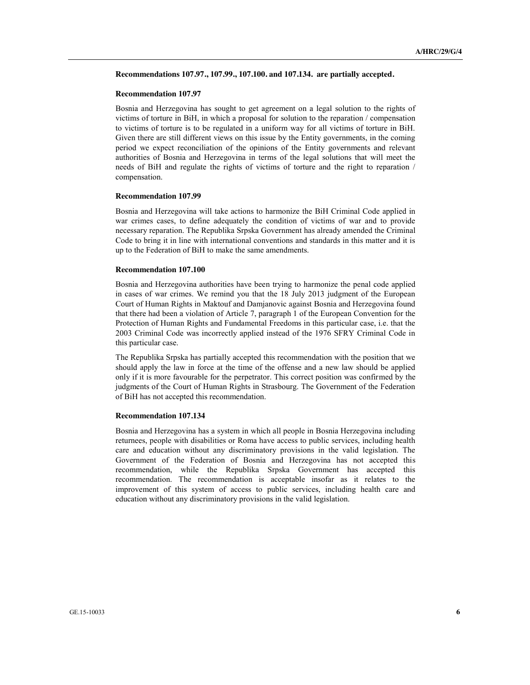### **Recommendations 107.97., 107.99., 107.100. and 107.134. are partially accepted.**

#### **Recommendation 107.97**

Bosnia and Herzegovina has sought to get agreement on a legal solution to the rights of victims of torture in BiH, in which a proposal for solution to the reparation / compensation to victims of torture is to be regulated in a uniform way for all victims of torture in BiH. Given there are still different views on this issue by the Entity governments, in the coming period we expect reconciliation of the opinions of the Entity governments and relevant authorities of Bosnia and Herzegovina in terms of the legal solutions that will meet the needs of BiH and regulate the rights of victims of torture and the right to reparation / compensation.

#### **Recommendation 107.99**

Bosnia and Herzegovina will take actions to harmonize the BiH Criminal Code applied in war crimes cases, to define adequately the condition of victims of war and to provide necessary reparation. The Republika Srpska Government has already amended the Criminal Code to bring it in line with international conventions and standards in this matter and it is up to the Federation of BiH to make the same amendments.

#### **Recommendation 107.100**

Bosnia and Herzegovina authorities have been trying to harmonize the penal code applied in cases of war crimes. We remind you that the 18 July 2013 judgment of the European Court of Human Rights in Maktouf and Damjanovic against Bosnia and Herzegovina found that there had been a violation of Article 7, paragraph 1 of the European Convention for the Protection of Human Rights and Fundamental Freedoms in this particular case, i.e. that the 2003 Criminal Code was incorrectly applied instead of the 1976 SFRY Criminal Code in this particular case.

The Republika Srpska has partially accepted this recommendation with the position that we should apply the law in force at the time of the offense and a new law should be applied only if it is more favourable for the perpetrator. This correct position was confirmed by the judgments of the Court of Human Rights in Strasbourg. The Government of the Federation of BiH has not accepted this recommendation.

### **Recommendation 107.134**

Bosnia and Herzegovina has a system in which all people in Bosnia Herzegovina including returnees, people with disabilities or Roma have access to public services, including health care and education without any discriminatory provisions in the valid legislation. The Government of the Federation of Bosnia and Herzegovina has not accepted this recommendation, while the Republika Srpska Government has accepted this recommendation. The recommendation is acceptable insofar as it relates to the improvement of this system of access to public services, including health care and education without any discriminatory provisions in the valid legislation.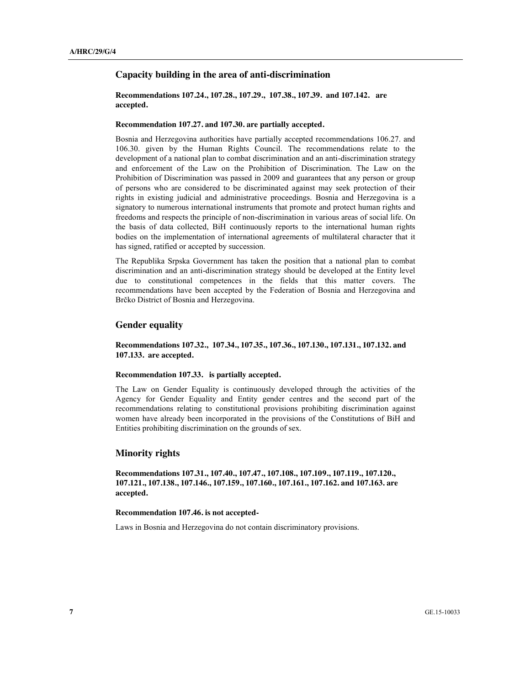### **Capacity building in the area of anti-discrimination**

# **Recommendations 107.24., 107.28., 107.29., 107.38., 107.39. and 107.142. are accepted.**

### **Recommendation 107.27. and 107.30. are partially accepted.**

Bosnia and Herzegovina authorities have partially accepted recommendations 106.27. and 106.30. given by the Human Rights Council. The recommendations relate to the development of a national plan to combat discrimination and an anti-discrimination strategy and enforcement of the Law on the Prohibition of Discrimination. The Law on the Prohibition of Discrimination was passed in 2009 and guarantees that any person or group of persons who are considered to be discriminated against may seek protection of their rights in existing judicial and administrative proceedings. Bosnia and Herzegovina is a signatory to numerous international instruments that promote and protect human rights and freedoms and respects the principle of non-discrimination in various areas of social life. On the basis of data collected, BiH continuously reports to the international human rights bodies on the implementation of international agreements of multilateral character that it has signed, ratified or accepted by succession.

The Republika Srpska Government has taken the position that a national plan to combat discrimination and an anti-discrimination strategy should be developed at the Entity level due to constitutional competences in the fields that this matter covers. The recommendations have been accepted by the Federation of Bosnia and Herzegovina and Brčko District of Bosnia and Herzegovina.

# **Gender equality**

# **Recommendations 107.32., 107.34., 107.35., 107.36., 107.130., 107.131., 107.132. and 107.133. are accepted.**

### **Recommendation 107.33. is partially accepted.**

The Law on Gender Equality is continuously developed through the activities of the Agency for Gender Equality and Entity gender centres and the second part of the recommendations relating to constitutional provisions prohibiting discrimination against women have already been incorporated in the provisions of the Constitutions of BiH and Entities prohibiting discrimination on the grounds of sex.

# **Minority rights**

**Recommendations 107.31., 107.40., 107.47., 107.108., 107.109., 107.119., 107.120., 107.121., 107.138., 107.146., 107.159., 107.160., 107.161., 107.162. and 107.163. are accepted.**

# **Recommendation 107.46. is not accepted-**

Laws in Bosnia and Herzegovina do not contain discriminatory provisions.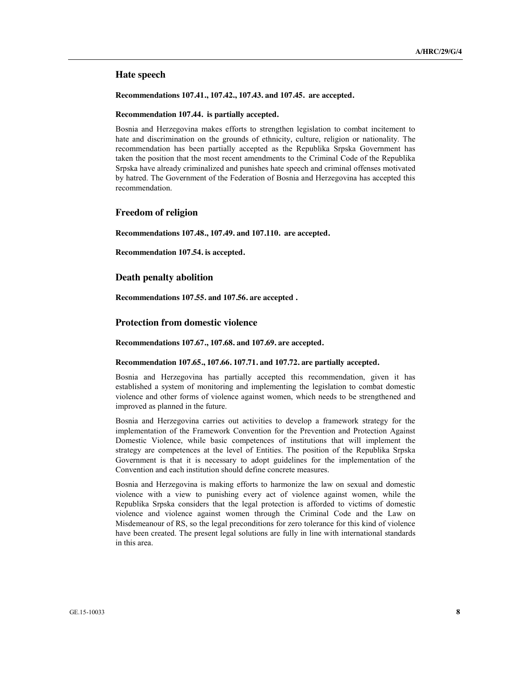### **Hate speech**

**Recommendations 107.41., 107.42., 107.43. and 107.45. are accepted.**

### **Recommendation 107.44. is partially accepted.**

Bosnia and Herzegovina makes efforts to strengthen legislation to combat incitement to hate and discrimination on the grounds of ethnicity, culture, religion or nationality. The recommendation has been partially accepted as the Republika Srpska Government has taken the position that the most recent amendments to the Criminal Code of the Republika Srpska have already criminalized and punishes hate speech and criminal offenses motivated by hatred. The Government of the Federation of Bosnia and Herzegovina has accepted this recommendation.

# **Freedom of religion**

**Recommendations 107.48., 107.49. and 107.110. are accepted.**

**Recommendation 107.54. is accepted.**

# **Death penalty abolition**

**Recommendations 107.55. and 107.56. are accepted .**

# **Protection from domestic violence**

**Recommendations 107.67., 107.68. and 107.69. are accepted.**

### **Recommendation 107.65., 107.66. 107.71. and 107.72. are partially accepted.**

Bosnia and Herzegovina has partially accepted this recommendation, given it has established a system of monitoring and implementing the legislation to combat domestic violence and other forms of violence against women, which needs to be strengthened and improved as planned in the future.

Bosnia and Herzegovina carries out activities to develop a framework strategy for the implementation of the Framework Convention for the Prevention and Protection Against Domestic Violence, while basic competences of institutions that will implement the strategy are competences at the level of Entities. The position of the Republika Srpska Government is that it is necessary to adopt guidelines for the implementation of the Convention and each institution should define concrete measures.

Bosnia and Herzegovina is making efforts to harmonize the law on sexual and domestic violence with a view to punishing every act of violence against women, while the Republika Srpska considers that the legal protection is afforded to victims of domestic violence and violence against women through the Criminal Code and the Law on Misdemeanour of RS, so the legal preconditions for zero tolerance for this kind of violence have been created. The present legal solutions are fully in line with international standards in this area.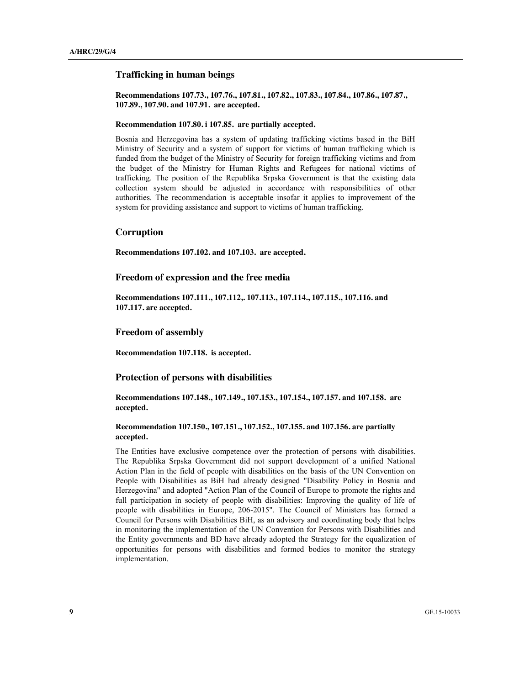### **Trafficking in human beings**

**Recommendations 107.73., 107.76., 107.81., 107.82., 107.83., 107.84., 107.86., 107.87., 107.89., 107.90. and 107.91. are accepted.**

### **Recommendation 107.80. i 107.85. are partially accepted.**

Bosnia and Herzegovina has a system of updating trafficking victims based in the BiH Ministry of Security and a system of support for victims of human trafficking which is funded from the budget of the Ministry of Security for foreign trafficking victims and from the budget of the Ministry for Human Rights and Refugees for national victims of trafficking. The position of the Republika Srpska Government is that the existing data collection system should be adjusted in accordance with responsibilities of other authorities. The recommendation is acceptable insofar it applies to improvement of the system for providing assistance and support to victims of human trafficking.

# **Corruption**

**Recommendations 107.102. and 107.103. are accepted.**

# **Freedom of expression and the free media**

**Recommendations 107.111., 107.112,. 107.113., 107.114., 107.115., 107.116. and 107.117. are accepted.**

# **Freedom of assembly**

**Recommendation 107.118. is accepted.**

### **Protection of persons with disabilities**

**Recommendations 107.148., 107.149., 107.153., 107.154., 107.157. and 107.158. are accepted.**

# **Recommendation 107.150., 107.151., 107.152., 107.155. and 107.156. are partially accepted.**

The Entities have exclusive competence over the protection of persons with disabilities. The Republika Srpska Government did not support development of a unified National Action Plan in the field of people with disabilities on the basis of the UN Convention on People with Disabilities as BiH had already designed "Disability Policy in Bosnia and Herzegovina" and adopted "Action Plan of the Council of Europe to promote the rights and full participation in society of people with disabilities: Improving the quality of life of people with disabilities in Europe, 206-2015". The Council of Ministers has formed a Council for Persons with Disabilities BiH, as an advisory and coordinating body that helps in monitoring the implementation of the UN Convention for Persons with Disabilities and the Entity governments and BD have already adopted the Strategy for the equalization of opportunities for persons with disabilities and formed bodies to monitor the strategy implementation.